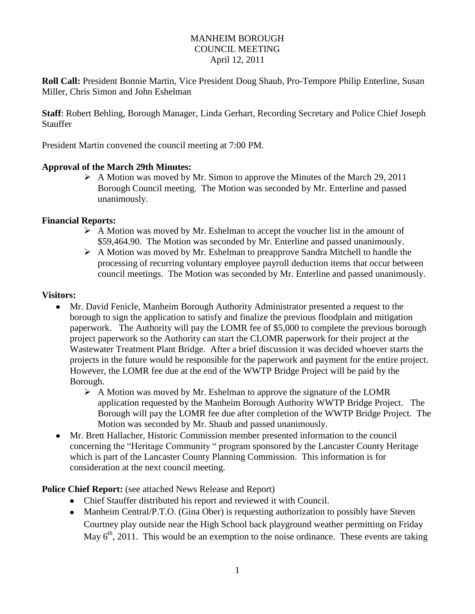### MANHEIM BOROUGH COUNCIL MEETING April 12, 2011

**Roll Call:** President Bonnie Martin, Vice President Doug Shaub, Pro-Tempore Philip Enterline, Susan Miller, Chris Simon and John Eshelman

**Staff**: Robert Behling, Borough Manager, Linda Gerhart, Recording Secretary and Police Chief Joseph Stauffer

President Martin convened the council meeting at 7:00 PM.

### **Approval of the March 29th Minutes:**

 A Motion was moved by Mr. Simon to approve the Minutes of the March 29, 2011 Borough Council meeting. The Motion was seconded by Mr. Enterline and passed unanimously.

### **Financial Reports:**

- $\triangleright$  A Motion was moved by Mr. Eshelman to accept the voucher list in the amount of \$59,464.90. The Motion was seconded by Mr. Enterline and passed unanimously.
- A Motion was moved by Mr. Eshelman to preapprove Sandra Mitchell to handle the processing of recurring voluntary employee payroll deduction items that occur between council meetings. The Motion was seconded by Mr. Enterline and passed unanimously.

### **Visitors:**

- Mr. David Fenicle, Manheim Borough Authority Administrator presented a request to the borough to sign the application to satisfy and finalize the previous floodplain and mitigation paperwork. The Authority will pay the LOMR fee of \$5,000 to complete the previous borough project paperwork so the Authority can start the CLOMR paperwork for their project at the Wastewater Treatment Plant Bridge. After a brief discussion it was decided whoever starts the projects in the future would be responsible for the paperwork and payment for the entire project. However, the LOMR fee due at the end of the WWTP Bridge Project will be paid by the Borough.
	- $\triangleright$  A Motion was moved by Mr. Eshelman to approve the signature of the LOMR application requested by the Manheim Borough Authority WWTP Bridge Project. The Borough will pay the LOMR fee due after completion of the WWTP Bridge Project. The Motion was seconded by Mr. Shaub and passed unanimously.
- Mr. Brett Hallacher, Historic Commission member presented information to the council concerning the "Heritage Community " program sponsored by the Lancaster County Heritage which is part of the Lancaster County Planning Commission. This information is for consideration at the next council meeting.

**Police Chief Report:** (see attached News Release and Report)

- Chief Stauffer distributed his report and reviewed it with Council.
- Manheim Central/P.T.O. (Gina Ober) is requesting authorization to possibly have Steven Courtney play outside near the High School back playground weather permitting on Friday May  $6<sup>th</sup>$ , 2011. This would be an exemption to the noise ordinance. These events are taking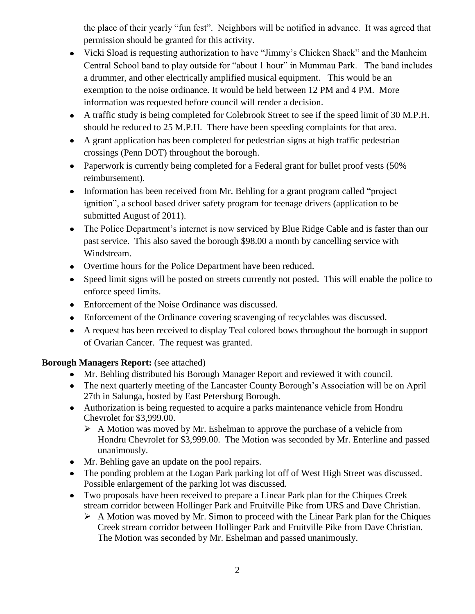the place of their yearly "fun fest". Neighbors will be notified in advance. It was agreed that permission should be granted for this activity.

- Vicki Sload is requesting authorization to have "Jimmy's Chicken Shack" and the Manheim Central School band to play outside for "about 1 hour" in Mummau Park. The band includes a drummer, and other electrically amplified musical equipment. This would be an exemption to the noise ordinance. It would be held between 12 PM and 4 PM. More information was requested before council will render a decision.
- A traffic study is being completed for Colebrook Street to see if the speed limit of 30 M.P.H. should be reduced to 25 M.P.H. There have been speeding complaints for that area.
- A grant application has been completed for pedestrian signs at high traffic pedestrian crossings (Penn DOT) throughout the borough.
- Paperwork is currently being completed for a Federal grant for bullet proof vests (50%) reimbursement).
- Information has been received from Mr. Behling for a grant program called "project" ignition", a school based driver safety program for teenage drivers (application to be submitted August of 2011).
- The Police Department's internet is now serviced by Blue Ridge Cable and is faster than our past service. This also saved the borough \$98.00 a month by cancelling service with Windstream.
- Overtime hours for the Police Department have been reduced.
- Speed limit signs will be posted on streets currently not posted. This will enable the police to enforce speed limits.
- Enforcement of the Noise Ordinance was discussed.
- Enforcement of the Ordinance covering scavenging of recyclables was discussed.
- A request has been received to display Teal colored bows throughout the borough in support of Ovarian Cancer. The request was granted.

# **Borough Managers Report:** (see attached)

- Mr. Behling distributed his Borough Manager Report and reviewed it with council.
- The next quarterly meeting of the Lancaster County Borough's Association will be on April 27th in Salunga, hosted by East Petersburg Borough.
- Authorization is being requested to acquire a parks maintenance vehicle from Hondru Chevrolet for \$3,999.00.
	- $\triangleright$  A Motion was moved by Mr. Eshelman to approve the purchase of a vehicle from Hondru Chevrolet for \$3,999.00. The Motion was seconded by Mr. Enterline and passed unanimously.
- Mr. Behling gave an update on the pool repairs.
- The ponding problem at the Logan Park parking lot off of West High Street was discussed. Possible enlargement of the parking lot was discussed.
- Two proposals have been received to prepare a Linear Park plan for the Chiques Creek stream corridor between Hollinger Park and Fruitville Pike from URS and Dave Christian.
	- $\triangleright$  A Motion was moved by Mr. Simon to proceed with the Linear Park plan for the Chiques Creek stream corridor between Hollinger Park and Fruitville Pike from Dave Christian. The Motion was seconded by Mr. Eshelman and passed unanimously.